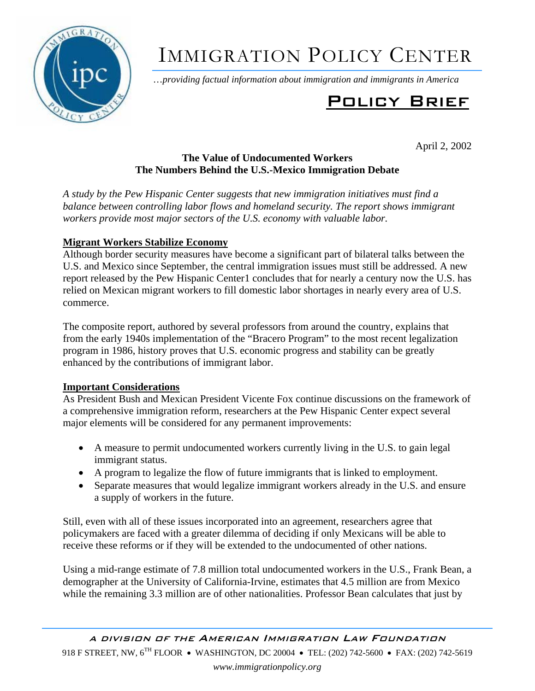

# IMMIGRATION POLICY CENTER

…*providing factual information about immigration and immigrants in America*

# Policy Brief

April 2, 2002

#### **The Value of Undocumented Workers The Numbers Behind the U.S.-Mexico Immigration Debate**

*A study by the Pew Hispanic Center suggests that new immigration initiatives must find a balance between controlling labor flows and homeland security. The report shows immigrant workers provide most major sectors of the U.S. economy with valuable labor.* 

## **Migrant Workers Stabilize Economy**

Although border security measures have become a significant part of bilateral talks between the U.S. and Mexico since September, the central immigration issues must still be addressed. A new report released by the Pew Hispanic Center1 concludes that for nearly a century now the U.S. has relied on Mexican migrant workers to fill domestic labor shortages in nearly every area of U.S. commerce.

The composite report, authored by several professors from around the country, explains that from the early 1940s implementation of the "Bracero Program" to the most recent legalization program in 1986, history proves that U.S. economic progress and stability can be greatly enhanced by the contributions of immigrant labor.

### **Important Considerations**

As President Bush and Mexican President Vicente Fox continue discussions on the framework of a comprehensive immigration reform, researchers at the Pew Hispanic Center expect several major elements will be considered for any permanent improvements:

- A measure to permit undocumented workers currently living in the U.S. to gain legal immigrant status.
- A program to legalize the flow of future immigrants that is linked to employment.
- Separate measures that would legalize immigrant workers already in the U.S. and ensure a supply of workers in the future.

Still, even with all of these issues incorporated into an agreement, researchers agree that policymakers are faced with a greater dilemma of deciding if only Mexicans will be able to receive these reforms or if they will be extended to the undocumented of other nations.

Using a mid-range estimate of 7.8 million total undocumented workers in the U.S., Frank Bean, a demographer at the University of California-Irvine, estimates that 4.5 million are from Mexico while the remaining 3.3 million are of other nationalities. Professor Bean calculates that just by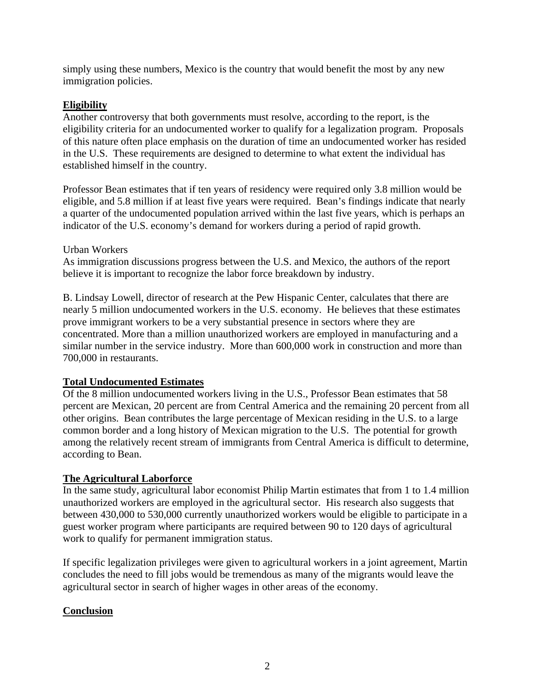simply using these numbers, Mexico is the country that would benefit the most by any new immigration policies.

#### **Eligibility**

Another controversy that both governments must resolve, according to the report, is the eligibility criteria for an undocumented worker to qualify for a legalization program. Proposals of this nature often place emphasis on the duration of time an undocumented worker has resided in the U.S. These requirements are designed to determine to what extent the individual has established himself in the country.

Professor Bean estimates that if ten years of residency were required only 3.8 million would be eligible, and 5.8 million if at least five years were required. Bean's findings indicate that nearly a quarter of the undocumented population arrived within the last five years, which is perhaps an indicator of the U.S. economy's demand for workers during a period of rapid growth.

#### Urban Workers

As immigration discussions progress between the U.S. and Mexico, the authors of the report believe it is important to recognize the labor force breakdown by industry.

B. Lindsay Lowell, director of research at the Pew Hispanic Center, calculates that there are nearly 5 million undocumented workers in the U.S. economy. He believes that these estimates prove immigrant workers to be a very substantial presence in sectors where they are concentrated. More than a million unauthorized workers are employed in manufacturing and a similar number in the service industry. More than 600,000 work in construction and more than 700,000 in restaurants.

#### **Total Undocumented Estimates**

Of the 8 million undocumented workers living in the U.S., Professor Bean estimates that 58 percent are Mexican, 20 percent are from Central America and the remaining 20 percent from all other origins. Bean contributes the large percentage of Mexican residing in the U.S. to a large common border and a long history of Mexican migration to the U.S. The potential for growth among the relatively recent stream of immigrants from Central America is difficult to determine, according to Bean.

#### **The Agricultural Laborforce**

In the same study, agricultural labor economist Philip Martin estimates that from 1 to 1.4 million unauthorized workers are employed in the agricultural sector. His research also suggests that between 430,000 to 530,000 currently unauthorized workers would be eligible to participate in a guest worker program where participants are required between 90 to 120 days of agricultural work to qualify for permanent immigration status.

If specific legalization privileges were given to agricultural workers in a joint agreement, Martin concludes the need to fill jobs would be tremendous as many of the migrants would leave the agricultural sector in search of higher wages in other areas of the economy.

#### **Conclusion**